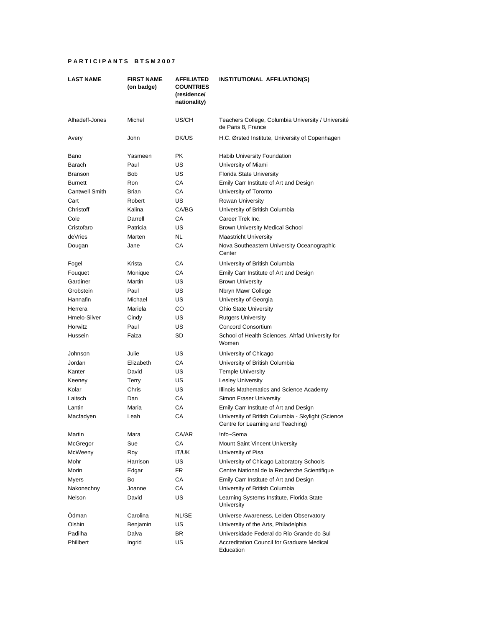## **P A R T I C I P A N T S B T S M 2 0 0 7**

| <b>LAST NAME</b>      | <b>FIRST NAME</b><br>(on badge) | <b>AFFILIATED</b><br><b>COUNTRIES</b><br>(residence/<br>nationality) | INSTITUTIONAL AFFILIATION(S)                                                            |
|-----------------------|---------------------------------|----------------------------------------------------------------------|-----------------------------------------------------------------------------------------|
| Alhadeff-Jones        | Michel                          | US/CH                                                                | Teachers College, Columbia University / Université<br>de Paris 8, France                |
| Avery                 | John                            | DK/US                                                                | H.C. Ørsted Institute, University of Copenhagen                                         |
| Bano                  | Yasmeen                         | PK.                                                                  | <b>Habib University Foundation</b>                                                      |
| Barach                | Paul                            | US                                                                   | University of Miami                                                                     |
| Branson               | <b>Bob</b>                      | US                                                                   | <b>Florida State University</b>                                                         |
| <b>Burnett</b>        | Ron                             | CA                                                                   | Emily Carr Institute of Art and Design                                                  |
| <b>Cantwell Smith</b> | <b>Brian</b>                    | CA                                                                   | University of Toronto                                                                   |
| Cart                  | Robert                          | US                                                                   | Rowan University                                                                        |
| Christoff             | Kalina                          | CA/BG                                                                | University of British Columbia                                                          |
| Cole                  | Darrell                         | СA                                                                   | Career Trek Inc.                                                                        |
| Cristofaro            | Patricia                        | US                                                                   | <b>Brown University Medical School</b>                                                  |
| deVries               | Marten                          | <b>NL</b>                                                            | <b>Maastricht University</b>                                                            |
| Dougan                | Jane                            | CA                                                                   | Nova Southeastern University Oceanographic<br>Center                                    |
| Fogel                 | Krista                          | СA                                                                   | University of British Columbia                                                          |
| Fouquet               | Monique                         | СA                                                                   | Emily Carr Institute of Art and Design                                                  |
| Gardiner              | Martin                          | US                                                                   | <b>Brown University</b>                                                                 |
| Grobstein             | Paul                            | US                                                                   | Nbryn Mawr College                                                                      |
| Hannafin              | Michael                         | US                                                                   | University of Georgia                                                                   |
| Herrera               | Mariela                         | CO                                                                   | <b>Ohio State University</b>                                                            |
| Hmelo-Silver          | Cindy                           | US                                                                   | <b>Rutgers University</b>                                                               |
| <b>Horwitz</b>        | Paul                            | US                                                                   | Concord Consortium                                                                      |
| Hussein               | Faiza                           | SD                                                                   | School of Health Sciences, Ahfad University for<br>Women                                |
| Johnson               | Julie                           | US                                                                   | University of Chicago                                                                   |
| Jordan                | Elizabeth                       | CA                                                                   | University of British Columbia                                                          |
| Kanter                | David                           | US                                                                   | <b>Temple University</b>                                                                |
| Keeney                | Terry                           | US                                                                   | <b>Lesley University</b>                                                                |
| Kolar                 | Chris                           | US                                                                   | Illinois Mathematics and Science Academy                                                |
| Laitsch               | Dan                             | СA                                                                   | Simon Fraser University                                                                 |
| Lantin                | Maria                           | CA                                                                   | Emily Carr Institute of Art and Design                                                  |
| Macfadyen             | Leah                            | CA                                                                   | University of British Columbia - Skylight (Science<br>Centre for Learning and Teaching) |
| Martin                | Mara                            | CA/AR                                                                | Info~Sema                                                                               |
| McGregor              | Sue                             | СA                                                                   | <b>Mount Saint Vincent University</b>                                                   |
| McWeeny               | Roy                             | IT/UK                                                                | University of Pisa                                                                      |
| Mohr                  | Harrison                        | US                                                                   | University of Chicago Laboratory Schools                                                |
| Morin                 | Edgar                           | FR                                                                   | Centre National de la Recherche Scientifique                                            |
| Myers                 | Bo                              | СA                                                                   | Emily Carr Institute of Art and Design                                                  |
| Nakonechny            | Joanne                          | СA                                                                   | University of British Columbia                                                          |
| Nelson                | David                           | US                                                                   | Learning Systems Institute, Florida State<br>University                                 |
| Ödman                 | Carolina                        | NL/SE                                                                | Universe Awareness, Leiden Observatory                                                  |
| Olshin                | Benjamin                        | US                                                                   | University of the Arts, Philadelphia                                                    |
| Padilha               | Dalva                           | BR                                                                   | Universidade Federal do Rio Grande do Sul                                               |
| Philibert             | Ingrid                          | US                                                                   | Accreditation Council for Graduate Medical<br>Education                                 |